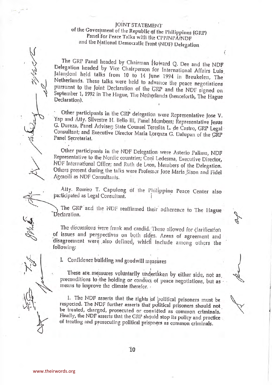## JOINT STATEMENT of the Government of the Republic of the Philippines (GRP) Panel for Peace Talks with the CPP/NPA/NDF and the National Democratic Front (NDF) Delegation

The GRP Panel headed by Chairman Howard Q. Dee and the NDF Delegation headed by Vice Chairperson for International Affairs Luis Jalandoni held talks from 10 to 14 June 1994 in Breukelen, The Netherlands. These talks were held to advance the peace negotiations pursuant to the Joint Declaration of the GRP and the NDF signed on September 1, 1992 in The Hague, The Netherlands (henceforth, The Hague Declaration).

Other participants in the GRP delegation were Representative Jose V. Yap and Atty. Silvestre H. Bello III, Panel Members; Representative Jesus G. Dureza, Panel Adviser; State Counsel Teresita L. de Castro, GRP Legal Consullant; and Executive Director Maria Lorqnza G. Dalupan of the GRP Panel Secretariat.

Other participants in the NDF Delegation were Asterio Palima, NDF Representative to the Nordic countries; Coni Ledesma, Executive Director, NDF International Office; and Ruth de Leon, Members of the Delegation. Others present during the talks were Professor Jose Maria Sison and Fidel Agcaoili as NDF Consultants.

Alty. Romeo T. Capulong of the Philippine Peace Center also participated as Legal Consultant.

The GRP and the NDF reaffirmed their adherence to The Hague Declaration.

The discussions were frank and candid. These allowed for clarification of issues and perspectives on both sides. Areas of agreement and disagreement were also defined, which include among others the following:

I. Confidence building and goodwill measures

These are measures voluntarily undertaken by either side, not as preconditions to the holding or conduct of peace negotiations, but as ... means to improve the climate therefor.

1. The NDF asserts that the rights of political prisoners must be respected. The NDF further asserts that political prisoners should not be treated, charged, prosecuted or convidted as common criminals. Finally, the NDF asserts that the GRP should stop its policy and practice of treating and prosecuting political prisoners as common criminals.



 $10^{\circ}$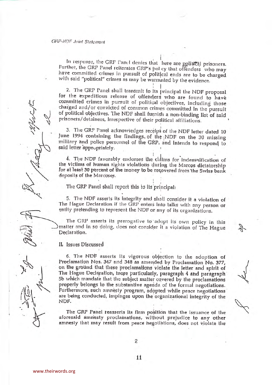## **GRP-NDF Joint Statement**

In response, the GRP Panel denies that here are political prisoners. Further, the GRP Panel reiterates GRP's pol cy that offenders who may have committed crimes in pursuit of political ends are to be charged with said "political" crimes as may be warranted by the evidence.

2. The GRP Panel shall transmit to its principal the NDF proposal for the expeditious release of offenders who are found to have committed crimes in pursuit of political objectives, including those charged and/or convicted of common crimes committed in the pursuit of political objectives. The NDF shall furnish a non-binding list of said prisoners/detainees, irrespective of their political affiliations.

3. The GRP Panel acknowiedges receipi of the NDF letter dated 10 June 1994 containing the findings. of the NDF on the 30 missing military and police personnel of the GRP, and Intends to respond to said letter appropriately.

4. The NDF favorably endorses the cidinis for indemnification of the victims of human rights violations during the Marcos dictatorship for at least 30 percent of the money to be recovered from the Swiss bank deposils of the Marcoses.

The GRP Panel shall report this to its principal:

5. The NDF asserts its integrity and shall consider it a violation of The Hague Declaration if the GRP enters into talks with any person or entily pretending to represent the NDF or any of its organizations.

The GRP asserts its prerogative to adopt its own policy in this matter and in so doing, does not consider it a violation of The Hague Declaration.

IL Issues Discussed

6. The NDF asserts its vigorous objection to the adoption of Proclamation Nos. 347 and 348 as amended by Proclamation No. 377, on the ground that these proclamations violate the letter and spirit of The Hague Declaration, inore particularly, paragraph 4 and paragraph 5b which mandate that the subject matter covered by the proclamations properly belongs to the substantive agenda of the formal negotiations. Furthermore, such amnesty program, adopted while peace negotiations are being conducted, impinges upon the organizational integrity of the NDF.

The GRP Panel reasserls its firm position that the issuance of the aforesaid annesty proclamations, without prejudice to any other amnesty that may result from peace hegotiations, does not violate the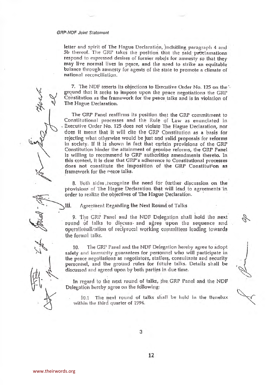## **GRP-NDF Joint Statement**

letter and spirit of The Hague Declaration, including paragraph 4 and 5b thereof. The GRP takes the position that the said proclamations respond to expressed desires of former rebels for amnesty so that they may live normal lives in peace, and the need to strike an equitable balance through amnesty for agents of the state to promote a climate of national reconciliation.

7. The NDF asserts its objections to Executive Order No. 125 on the ground that it seeks to impose upon the peace negotiations the GRP Constitution as the framework for the peace talks and is in violation of The Hague Declaration.

The GRP Panel reaffirms its position that the GRP commitment to Constitutional processes and the Rule of Law as enunciated in Executive Order No. 125 does not violate The Hague Declaration, nor does it mean that it will cite the GRP Constitution as a basis for rejecting what otherwise would be just and yalid proposals for reforms In society. If it is shown in fact that certain provisions of the GRP Constitution hinder the attainment of genuine reforms, the GRP Panel is willing to recommend to GRP authorities amendments thereto. In this context, it is clear that GRP's adherence to Constitutional processes does not constitute the imposition of the GRP Constitution as framework for the neace talks.

8. Both sides recognize the need for further discussion on the provisions of The Hague Declaration that will lead to agreements in order to realize the objectives of The Hague Declaration.

Agreement Pegarding the Next Round of Talks

9. The GRP Panel and the NDF Delegation shall hold the next round of talks to discuss and agree upon the sequence and operationalization of reciprocal working committees leading towards the formal talks.

The GRP Panel and the NDF Delegation hereby agree to adopt 10. safely and immunity guarantees for personnel who will participate in the peace negotiations as negotiators, staffers, consultants and security personnel, and the ground rules for future talks. Details shall be discussed and agreed upon by both parties in due time.

In regard to the next round of talks, the GRP Panel and the NDF Delegation hereby agree on the following:

10.1 The next round of talks shall be held in the Benelux within the third quarter of 1994.

III.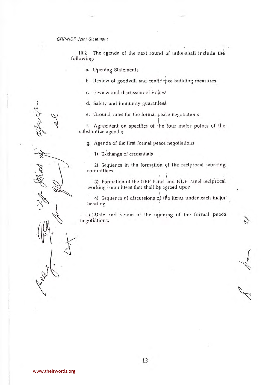**GRP-NDF Joint Statement** 

10.2 The agenda of the next round of talks shall include the following:

a. Opening Statements

b. Review of goodwill and confidence-building measures

c. Review and discussion of issues!

d. Safety and immunity guarantees

e. Ground rules for the formal peace negotiations

f. Agreement on specifics of the four major points of the substantive agenda;

g. Agenda of the first formal peace negotiations

1) Exchange of credentials

2) Sequence in the formation of the reciprocal working committees

3) Formation of the GRP Panel and NDF Panel reciprocal working committees that shall be agreed upon

4) Sequence of discussions of the items under each major heading

hippate and venue of the opening of the formal peace negotiations.